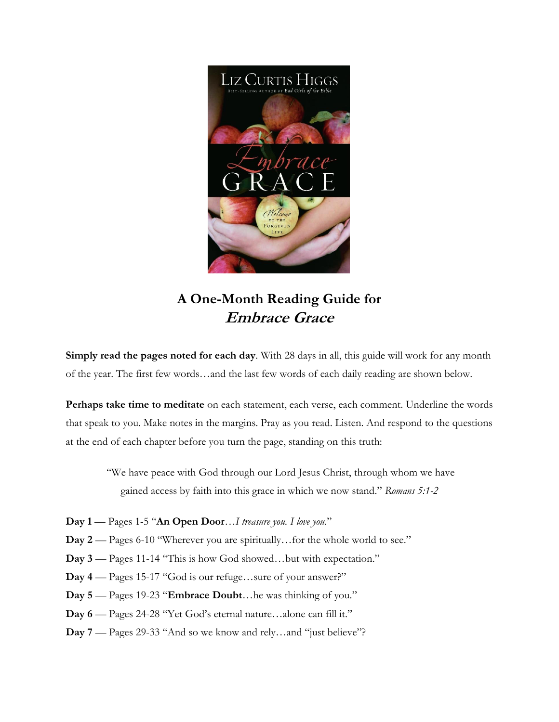

## **A One-Month Reading Guide for Embrace Grace**

**Simply read the pages noted for each day**. With 28 days in all, this guide will work for any month of the year. The first few words…and the last few words of each daily reading are shown below.

**Perhaps take time to meditate** on each statement, each verse, each comment. Underline the words that speak to you. Make notes in the margins. Pray as you read. Listen. And respond to the questions at the end of each chapter before you turn the page, standing on this truth:

"We have peace with God through our Lord Jesus Christ, through whom we have gained access by faith into this grace in which we now stand." *Romans 5:1-2*

- **Day 1** Pages 1-5 "**An Open Door**…*I treasure you. I love you.*"
- **Day 2** Pages 6-10 "Wherever you are spiritually…for the whole world to see."
- **Day 3** Pages 11-14 "This is how God showed…but with expectation."
- **Day 4** Pages 15-17 "God is our refuge…sure of your answer?"
- **Day 5** Pages 19-23 "**Embrace Doubt**…he was thinking of you."
- **Day 6** Pages 24-28 "Yet God's eternal nature…alone can fill it."
- **Day 7** Pages 29-33 "And so we know and rely…and "just believe"?